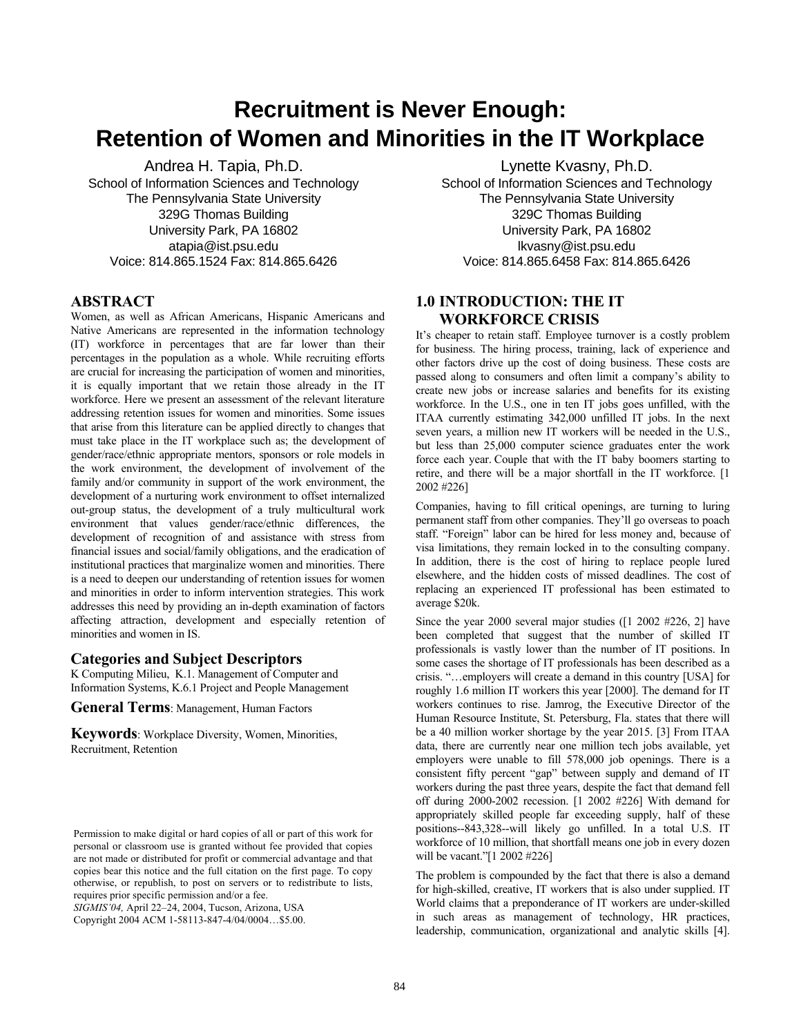# **Recruitment is Never Enough: Retention of Women and Minorities in the IT Workplace**

Andrea H. Tapia, Ph.D. School of Information Sciences and Technology The Pennsylvania State University 329G Thomas Building University Park, PA 16802 atapia@ist.psu.edu Voice: 814.865.1524 Fax: 814.865.6426

#### **ABSTRACT**

Women, as well as African Americans, Hispanic Americans and Native Americans are represented in the information technology (IT) workforce in percentages that are far lower than their percentages in the population as a whole. While recruiting efforts are crucial for increasing the participation of women and minorities, it is equally important that we retain those already in the IT workforce. Here we present an assessment of the relevant literature addressing retention issues for women and minorities. Some issues that arise from this literature can be applied directly to changes that must take place in the IT workplace such as; the development of gender/race/ethnic appropriate mentors, sponsors or role models in the work environment, the development of involvement of the family and/or community in support of the work environment, the development of a nurturing work environment to offset internalized out-group status, the development of a truly multicultural work environment that values gender/race/ethnic differences, the development of recognition of and assistance with stress from financial issues and social/family obligations, and the eradication of institutional practices that marginalize women and minorities. There is a need to deepen our understanding of retention issues for women and minorities in order to inform intervention strategies. This work addresses this need by providing an in-depth examination of factors affecting attraction, development and especially retention of minorities and women in IS.

#### **Categories and Subject Descriptors**

K Computing Milieu, K.1. Management of Computer and Information Systems, K.6.1 Project and People Management

#### **General Terms**: Management, Human Factors

**Keywords**: Workplace Diversity, Women, Minorities, Recruitment, Retention

*SIGMIS'04,* April 22–24, 2004, Tucson, Arizona, USA

Copyright 2004 ACM 1-58113-847-4/04/0004…\$5.00.

Lynette Kvasny, Ph.D. School of Information Sciences and Technology The Pennsylvania State University 329C Thomas Building University Park, PA 16802 lkvasny@ist.psu.edu Voice: 814.865.6458 Fax: 814.865.6426

### **1.0 INTRODUCTION: THE IT WORKFORCE CRISIS**

It's cheaper to retain staff. Employee turnover is a costly problem for business. The hiring process, training, lack of experience and other factors drive up the cost of doing business. These costs are passed along to consumers and often limit a company's ability to create new jobs or increase salaries and benefits for its existing workforce. In the U.S., one in ten IT jobs goes unfilled, with the ITAA currently estimating 342,000 unfilled IT jobs. In the next seven years, a million new IT workers will be needed in the U.S., but less than 25,000 computer science graduates enter the work force each year. Couple that with the IT baby boomers starting to retire, and there will be a major shortfall in the IT workforce. [1 2002 #226]

Companies, having to fill critical openings, are turning to luring permanent staff from other companies. They'll go overseas to poach staff. "Foreign" labor can be hired for less money and, because of visa limitations, they remain locked in to the consulting company. In addition, there is the cost of hiring to replace people lured elsewhere, and the hidden costs of missed deadlines. The cost of replacing an experienced IT professional has been estimated to average \$20k.

Since the year 2000 several major studies ([1 2002 #226, 2] have been completed that suggest that the number of skilled IT professionals is vastly lower than the number of IT positions. In some cases the shortage of IT professionals has been described as a crisis. "…employers will create a demand in this country [USA] for roughly 1.6 million IT workers this year [2000]. The demand for IT workers continues to rise. Jamrog, the Executive Director of the Human Resource Institute, St. Petersburg, Fla. states that there will be a 40 million worker shortage by the year 2015. [3] From ITAA data, there are currently near one million tech jobs available, yet employers were unable to fill 578,000 job openings. There is a consistent fifty percent "gap" between supply and demand of IT workers during the past three years, despite the fact that demand fell off during 2000-2002 recession. [1 2002 #226] With demand for appropriately skilled people far exceeding supply, half of these positions--843,328--will likely go unfilled. In a total U.S. IT workforce of 10 million, that shortfall means one job in every dozen will be vacant."[1 2002 #226]

The problem is compounded by the fact that there is also a demand for high-skilled, creative, IT workers that is also under supplied. IT World claims that a preponderance of IT workers are under-skilled in such areas as management of technology, HR practices, leadership, communication, organizational and analytic skills [4].

Permission to make digital or hard copies of all or part of this work for personal or classroom use is granted without fee provided that copies are not made or distributed for profit or commercial advantage and that copies bear this notice and the full citation on the first page. To copy otherwise, or republish, to post on servers or to redistribute to lists, requires prior specific permission and/or a fee.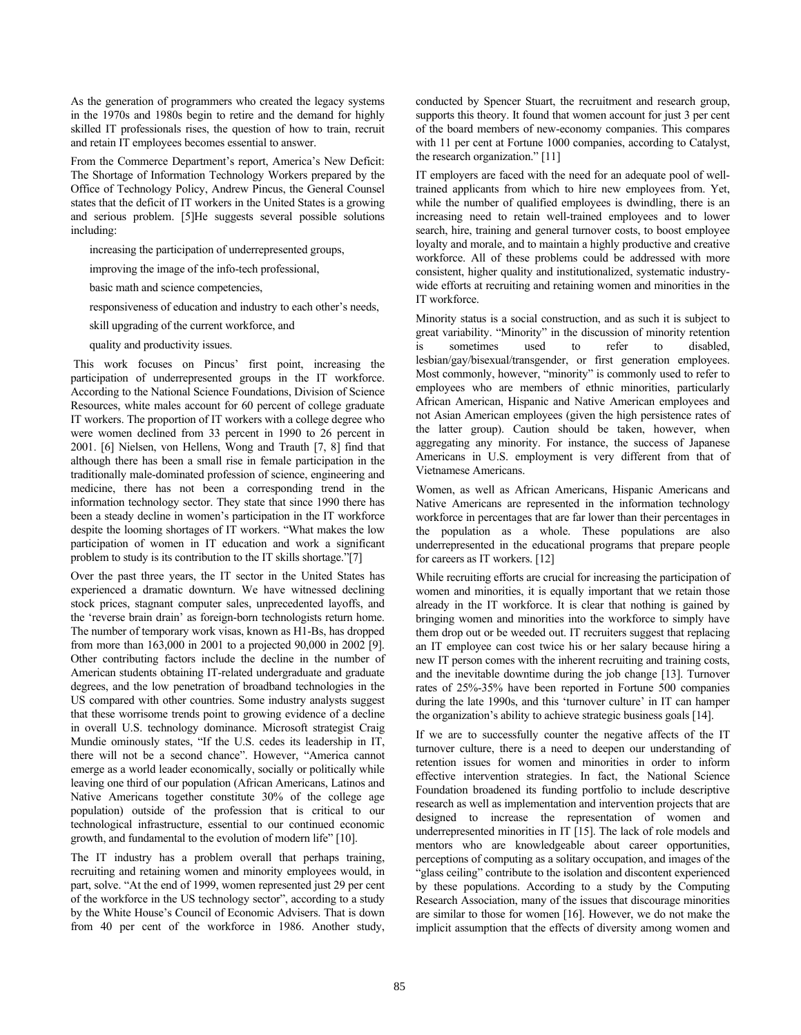As the generation of programmers who created the legacy systems in the 1970s and 1980s begin to retire and the demand for highly skilled IT professionals rises, the question of how to train, recruit and retain IT employees becomes essential to answer.

From the Commerce Department's report, America's New Deficit: The Shortage of Information Technology Workers prepared by the Office of Technology Policy, Andrew Pincus, the General Counsel states that the deficit of IT workers in the United States is a growing and serious problem. [5]He suggests several possible solutions including:

increasing the participation of underrepresented groups,

improving the image of the info-tech professional,

basic math and science competencies,

responsiveness of education and industry to each other's needs,

skill upgrading of the current workforce, and

quality and productivity issues.

 This work focuses on Pincus' first point, increasing the participation of underrepresented groups in the IT workforce. According to the National Science Foundations, Division of Science Resources, white males account for 60 percent of college graduate IT workers. The proportion of IT workers with a college degree who were women declined from 33 percent in 1990 to 26 percent in 2001. [6] Nielsen, von Hellens, Wong and Trauth [7, 8] find that although there has been a small rise in female participation in the traditionally male-dominated profession of science, engineering and medicine, there has not been a corresponding trend in the information technology sector. They state that since 1990 there has been a steady decline in women's participation in the IT workforce despite the looming shortages of IT workers. "What makes the low participation of women in IT education and work a significant problem to study is its contribution to the IT skills shortage."[7]

Over the past three years, the IT sector in the United States has experienced a dramatic downturn. We have witnessed declining stock prices, stagnant computer sales, unprecedented layoffs, and the 'reverse brain drain' as foreign-born technologists return home. The number of temporary work visas, known as H1-Bs, has dropped from more than 163,000 in 2001 to a projected 90,000 in 2002 [9]. Other contributing factors include the decline in the number of American students obtaining IT-related undergraduate and graduate degrees, and the low penetration of broadband technologies in the US compared with other countries. Some industry analysts suggest that these worrisome trends point to growing evidence of a decline in overall U.S. technology dominance. Microsoft strategist Craig Mundie ominously states, "If the U.S. cedes its leadership in IT, there will not be a second chance". However, "America cannot emerge as a world leader economically, socially or politically while leaving one third of our population (African Americans, Latinos and Native Americans together constitute 30% of the college age population) outside of the profession that is critical to our technological infrastructure, essential to our continued economic growth, and fundamental to the evolution of modern life" [10].

The IT industry has a problem overall that perhaps training, recruiting and retaining women and minority employees would, in part, solve. "At the end of 1999, women represented just 29 per cent of the workforce in the US technology sector", according to a study by the White House's Council of Economic Advisers. That is down from 40 per cent of the workforce in 1986. Another study, conducted by Spencer Stuart, the recruitment and research group, supports this theory. It found that women account for just 3 per cent of the board members of new-economy companies. This compares with 11 per cent at Fortune 1000 companies, according to Catalyst, the research organization." [11]

IT employers are faced with the need for an adequate pool of welltrained applicants from which to hire new employees from. Yet, while the number of qualified employees is dwindling, there is an increasing need to retain well-trained employees and to lower search, hire, training and general turnover costs, to boost employee loyalty and morale, and to maintain a highly productive and creative workforce. All of these problems could be addressed with more consistent, higher quality and institutionalized, systematic industrywide efforts at recruiting and retaining women and minorities in the IT workforce.

Minority status is a social construction, and as such it is subject to great variability. "Minority" in the discussion of minority retention is sometimes used to refer to disabled, lesbian/gay/bisexual/transgender, or first generation employees. Most commonly, however, "minority" is commonly used to refer to employees who are members of ethnic minorities, particularly African American, Hispanic and Native American employees and not Asian American employees (given the high persistence rates of the latter group). Caution should be taken, however, when aggregating any minority. For instance, the success of Japanese Americans in U.S. employment is very different from that of Vietnamese Americans.

Women, as well as African Americans, Hispanic Americans and Native Americans are represented in the information technology workforce in percentages that are far lower than their percentages in the population as a whole. These populations are also underrepresented in the educational programs that prepare people for careers as IT workers. [12]

While recruiting efforts are crucial for increasing the participation of women and minorities, it is equally important that we retain those already in the IT workforce. It is clear that nothing is gained by bringing women and minorities into the workforce to simply have them drop out or be weeded out. IT recruiters suggest that replacing an IT employee can cost twice his or her salary because hiring a new IT person comes with the inherent recruiting and training costs, and the inevitable downtime during the job change [13]. Turnover rates of 25%-35% have been reported in Fortune 500 companies during the late 1990s, and this 'turnover culture' in IT can hamper the organization's ability to achieve strategic business goals [14].

If we are to successfully counter the negative affects of the IT turnover culture, there is a need to deepen our understanding of retention issues for women and minorities in order to inform effective intervention strategies. In fact, the National Science Foundation broadened its funding portfolio to include descriptive research as well as implementation and intervention projects that are designed to increase the representation of women and underrepresented minorities in IT [15]. The lack of role models and mentors who are knowledgeable about career opportunities, perceptions of computing as a solitary occupation, and images of the "glass ceiling" contribute to the isolation and discontent experienced by these populations. According to a study by the Computing Research Association, many of the issues that discourage minorities are similar to those for women [16]. However, we do not make the implicit assumption that the effects of diversity among women and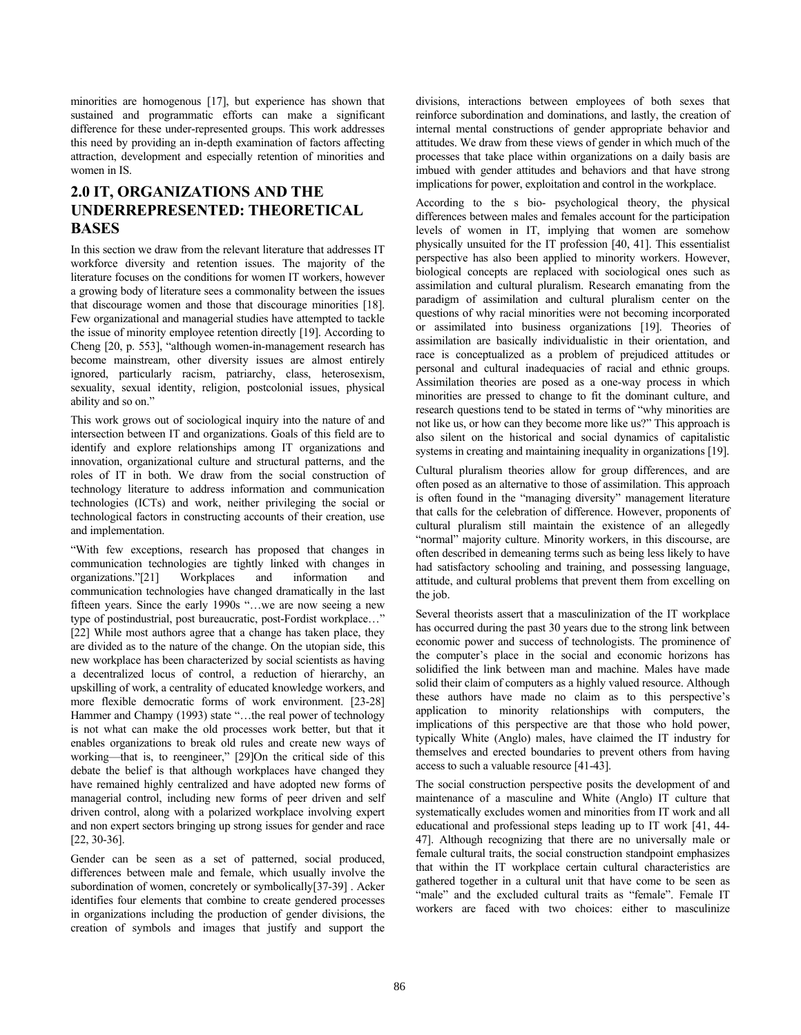minorities are homogenous [17], but experience has shown that sustained and programmatic efforts can make a significant difference for these under-represented groups. This work addresses this need by providing an in-depth examination of factors affecting attraction, development and especially retention of minorities and women in IS.

# **2.0 IT, ORGANIZATIONS AND THE UNDERREPRESENTED: THEORETICAL BASES**

In this section we draw from the relevant literature that addresses IT workforce diversity and retention issues. The majority of the literature focuses on the conditions for women IT workers, however a growing body of literature sees a commonality between the issues that discourage women and those that discourage minorities [18]. Few organizational and managerial studies have attempted to tackle the issue of minority employee retention directly [19]. According to Cheng [20, p. 553], "although women-in-management research has become mainstream, other diversity issues are almost entirely ignored, particularly racism, patriarchy, class, heterosexism, sexuality, sexual identity, religion, postcolonial issues, physical ability and so on."

This work grows out of sociological inquiry into the nature of and intersection between IT and organizations. Goals of this field are to identify and explore relationships among IT organizations and innovation, organizational culture and structural patterns, and the roles of IT in both. We draw from the social construction of technology literature to address information and communication technologies (ICTs) and work, neither privileging the social or technological factors in constructing accounts of their creation, use and implementation.

"With few exceptions, research has proposed that changes in communication technologies are tightly linked with changes in organizations."[21] Workplaces and information and communication technologies have changed dramatically in the last fifteen years. Since the early 1990s "…we are now seeing a new type of postindustrial, post bureaucratic, post-Fordist workplace…" [22] While most authors agree that a change has taken place, they are divided as to the nature of the change. On the utopian side, this new workplace has been characterized by social scientists as having a decentralized locus of control, a reduction of hierarchy, an upskilling of work, a centrality of educated knowledge workers, and more flexible democratic forms of work environment. [23-28] Hammer and Champy (1993) state "...the real power of technology is not what can make the old processes work better, but that it enables organizations to break old rules and create new ways of working—that is, to reengineer," [29]On the critical side of this debate the belief is that although workplaces have changed they have remained highly centralized and have adopted new forms of managerial control, including new forms of peer driven and self driven control, along with a polarized workplace involving expert and non expert sectors bringing up strong issues for gender and race [22, 30-36].

Gender can be seen as a set of patterned, social produced, differences between male and female, which usually involve the subordination of women, concretely or symbolically[37-39] . Acker identifies four elements that combine to create gendered processes in organizations including the production of gender divisions, the creation of symbols and images that justify and support the

divisions, interactions between employees of both sexes that reinforce subordination and dominations, and lastly, the creation of internal mental constructions of gender appropriate behavior and attitudes. We draw from these views of gender in which much of the processes that take place within organizations on a daily basis are imbued with gender attitudes and behaviors and that have strong implications for power, exploitation and control in the workplace.

According to the s bio- psychological theory, the physical differences between males and females account for the participation levels of women in IT, implying that women are somehow physically unsuited for the IT profession [40, 41]. This essentialist perspective has also been applied to minority workers. However, biological concepts are replaced with sociological ones such as assimilation and cultural pluralism. Research emanating from the paradigm of assimilation and cultural pluralism center on the questions of why racial minorities were not becoming incorporated or assimilated into business organizations [19]. Theories of assimilation are basically individualistic in their orientation, and race is conceptualized as a problem of prejudiced attitudes or personal and cultural inadequacies of racial and ethnic groups. Assimilation theories are posed as a one-way process in which minorities are pressed to change to fit the dominant culture, and research questions tend to be stated in terms of "why minorities are not like us, or how can they become more like us?" This approach is also silent on the historical and social dynamics of capitalistic systems in creating and maintaining inequality in organizations [19].

Cultural pluralism theories allow for group differences, and are often posed as an alternative to those of assimilation. This approach is often found in the "managing diversity" management literature that calls for the celebration of difference. However, proponents of cultural pluralism still maintain the existence of an allegedly "normal" majority culture. Minority workers, in this discourse, are often described in demeaning terms such as being less likely to have had satisfactory schooling and training, and possessing language, attitude, and cultural problems that prevent them from excelling on the job.

Several theorists assert that a masculinization of the IT workplace has occurred during the past 30 years due to the strong link between economic power and success of technologists. The prominence of the computer's place in the social and economic horizons has solidified the link between man and machine. Males have made solid their claim of computers as a highly valued resource. Although these authors have made no claim as to this perspective's application to minority relationships with computers, the implications of this perspective are that those who hold power, typically White (Anglo) males, have claimed the IT industry for themselves and erected boundaries to prevent others from having access to such a valuable resource [41-43].

The social construction perspective posits the development of and maintenance of a masculine and White (Anglo) IT culture that systematically excludes women and minorities from IT work and all educational and professional steps leading up to IT work [41, 44- 47]. Although recognizing that there are no universally male or female cultural traits, the social construction standpoint emphasizes that within the IT workplace certain cultural characteristics are gathered together in a cultural unit that have come to be seen as "male" and the excluded cultural traits as "female". Female IT workers are faced with two choices: either to masculinize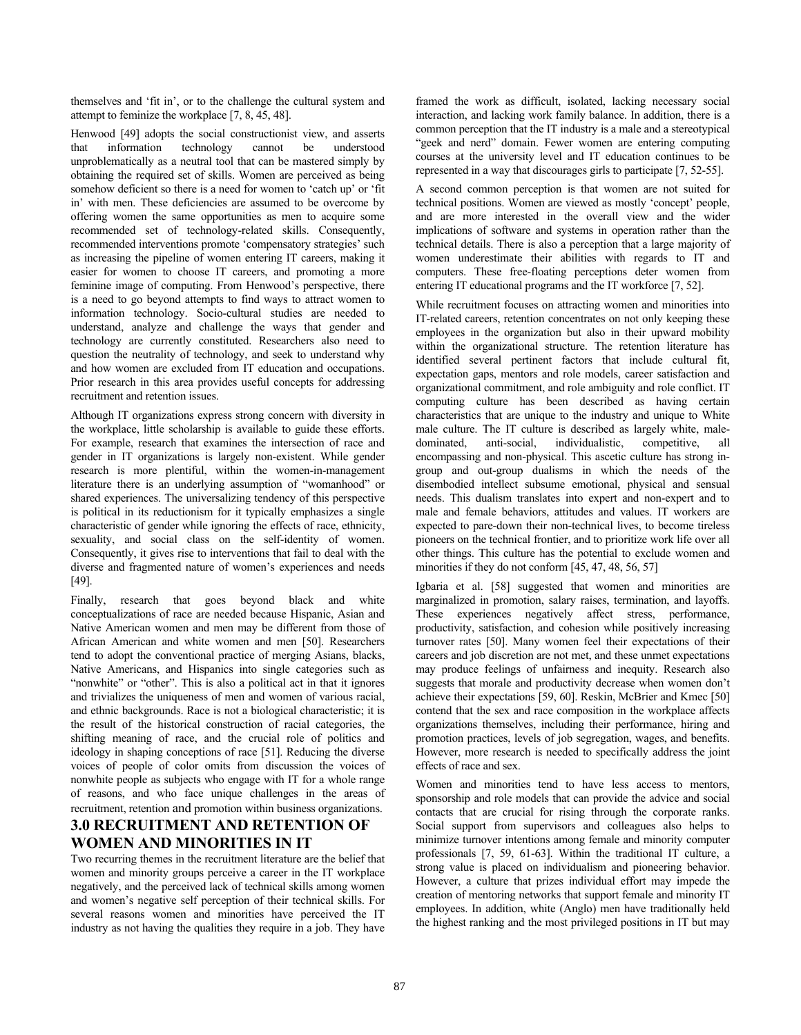themselves and 'fit in', or to the challenge the cultural system and attempt to feminize the workplace [7, 8, 45, 48].

Henwood [49] adopts the social constructionist view, and asserts that information technology cannot be understood unproblematically as a neutral tool that can be mastered simply by obtaining the required set of skills. Women are perceived as being somehow deficient so there is a need for women to 'catch up' or 'fit in' with men. These deficiencies are assumed to be overcome by offering women the same opportunities as men to acquire some recommended set of technology-related skills. Consequently, recommended interventions promote 'compensatory strategies' such as increasing the pipeline of women entering IT careers, making it easier for women to choose IT careers, and promoting a more feminine image of computing. From Henwood's perspective, there is a need to go beyond attempts to find ways to attract women to information technology. Socio-cultural studies are needed to understand, analyze and challenge the ways that gender and technology are currently constituted. Researchers also need to question the neutrality of technology, and seek to understand why and how women are excluded from IT education and occupations. Prior research in this area provides useful concepts for addressing recruitment and retention issues.

Although IT organizations express strong concern with diversity in the workplace, little scholarship is available to guide these efforts. For example, research that examines the intersection of race and gender in IT organizations is largely non-existent. While gender research is more plentiful, within the women-in-management literature there is an underlying assumption of "womanhood" or shared experiences. The universalizing tendency of this perspective is political in its reductionism for it typically emphasizes a single characteristic of gender while ignoring the effects of race, ethnicity, sexuality, and social class on the self-identity of women. Consequently, it gives rise to interventions that fail to deal with the diverse and fragmented nature of women's experiences and needs [49].

Finally, research that goes beyond black and white conceptualizations of race are needed because Hispanic, Asian and Native American women and men may be different from those of African American and white women and men [50]. Researchers tend to adopt the conventional practice of merging Asians, blacks, Native Americans, and Hispanics into single categories such as "nonwhite" or "other". This is also a political act in that it ignores and trivializes the uniqueness of men and women of various racial, and ethnic backgrounds. Race is not a biological characteristic; it is the result of the historical construction of racial categories, the shifting meaning of race, and the crucial role of politics and ideology in shaping conceptions of race [51]. Reducing the diverse voices of people of color omits from discussion the voices of nonwhite people as subjects who engage with IT for a whole range of reasons, and who face unique challenges in the areas of recruitment, retention and promotion within business organizations.

## **3.0 RECRUITMENT AND RETENTION OF WOMEN AND MINORITIES IN IT**

Two recurring themes in the recruitment literature are the belief that women and minority groups perceive a career in the IT workplace negatively, and the perceived lack of technical skills among women and women's negative self perception of their technical skills. For several reasons women and minorities have perceived the IT industry as not having the qualities they require in a job. They have

framed the work as difficult, isolated, lacking necessary social interaction, and lacking work family balance. In addition, there is a common perception that the IT industry is a male and a stereotypical "geek and nerd" domain. Fewer women are entering computing courses at the university level and IT education continues to be represented in a way that discourages girls to participate [7, 52-55].

A second common perception is that women are not suited for technical positions. Women are viewed as mostly 'concept' people, and are more interested in the overall view and the wider implications of software and systems in operation rather than the technical details. There is also a perception that a large majority of women underestimate their abilities with regards to IT and computers. These free-floating perceptions deter women from entering IT educational programs and the IT workforce [7, 52].

While recruitment focuses on attracting women and minorities into IT-related careers, retention concentrates on not only keeping these employees in the organization but also in their upward mobility within the organizational structure. The retention literature has identified several pertinent factors that include cultural fit, expectation gaps, mentors and role models, career satisfaction and organizational commitment, and role ambiguity and role conflict. IT computing culture has been described as having certain characteristics that are unique to the industry and unique to White male culture. The IT culture is described as largely white, maledominated, anti-social, individualistic, competitive, all encompassing and non-physical. This ascetic culture has strong ingroup and out-group dualisms in which the needs of the disembodied intellect subsume emotional, physical and sensual needs. This dualism translates into expert and non-expert and to male and female behaviors, attitudes and values. IT workers are expected to pare-down their non-technical lives, to become tireless pioneers on the technical frontier, and to prioritize work life over all other things. This culture has the potential to exclude women and minorities if they do not conform  $[45, 47, 48, 56, 57]$ 

Igbaria et al. [58] suggested that women and minorities are marginalized in promotion, salary raises, termination, and layoffs. These experiences negatively affect stress, performance, productivity, satisfaction, and cohesion while positively increasing turnover rates [50]. Many women feel their expectations of their careers and job discretion are not met, and these unmet expectations may produce feelings of unfairness and inequity. Research also suggests that morale and productivity decrease when women don't achieve their expectations [59, 60]. Reskin, McBrier and Kmec [50] contend that the sex and race composition in the workplace affects organizations themselves, including their performance, hiring and promotion practices, levels of job segregation, wages, and benefits. However, more research is needed to specifically address the joint effects of race and sex.

Women and minorities tend to have less access to mentors, sponsorship and role models that can provide the advice and social contacts that are crucial for rising through the corporate ranks. Social support from supervisors and colleagues also helps to minimize turnover intentions among female and minority computer professionals [7, 59, 61-63]. Within the traditional IT culture, a strong value is placed on individualism and pioneering behavior. However, a culture that prizes individual effort may impede the creation of mentoring networks that support female and minority IT employees. In addition, white (Anglo) men have traditionally held the highest ranking and the most privileged positions in IT but may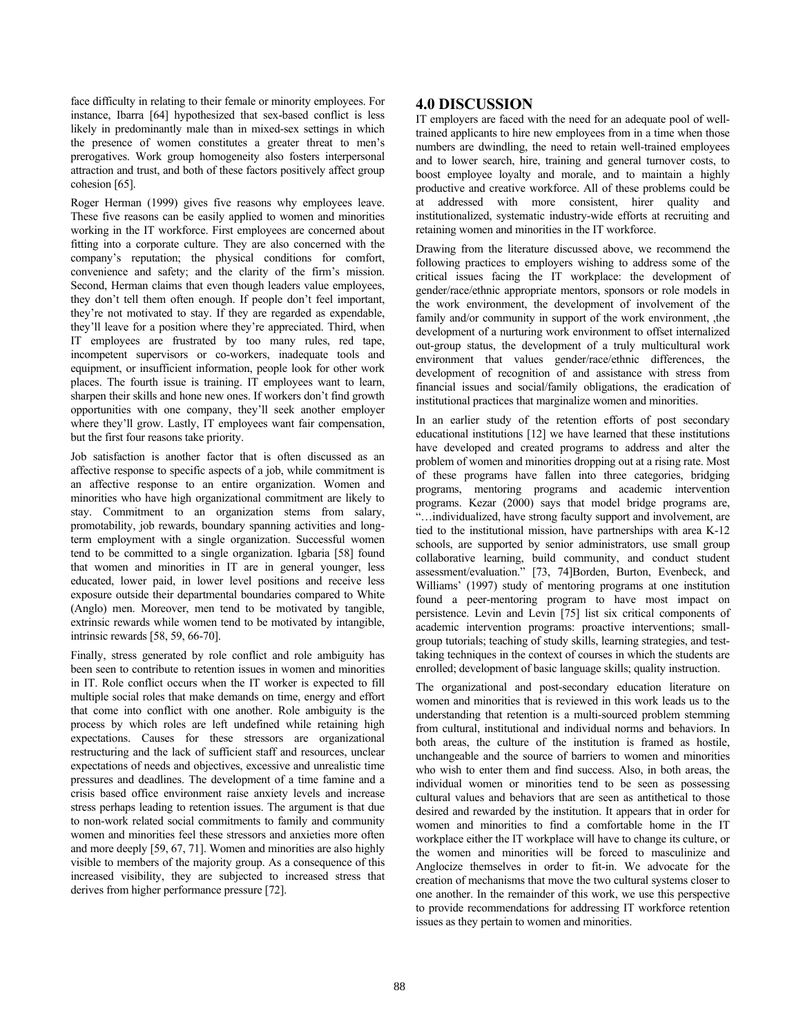face difficulty in relating to their female or minority employees. For instance, Ibarra [64] hypothesized that sex-based conflict is less likely in predominantly male than in mixed-sex settings in which the presence of women constitutes a greater threat to men's prerogatives. Work group homogeneity also fosters interpersonal attraction and trust, and both of these factors positively affect group cohesion [65].

Roger Herman (1999) gives five reasons why employees leave. These five reasons can be easily applied to women and minorities working in the IT workforce. First employees are concerned about fitting into a corporate culture. They are also concerned with the company's reputation; the physical conditions for comfort, convenience and safety; and the clarity of the firm's mission. Second, Herman claims that even though leaders value employees, they don't tell them often enough. If people don't feel important, they're not motivated to stay. If they are regarded as expendable, they'll leave for a position where they're appreciated. Third, when IT employees are frustrated by too many rules, red tape, incompetent supervisors or co-workers, inadequate tools and equipment, or insufficient information, people look for other work places. The fourth issue is training. IT employees want to learn, sharpen their skills and hone new ones. If workers don't find growth opportunities with one company, they'll seek another employer where they'll grow. Lastly, IT employees want fair compensation, but the first four reasons take priority.

Job satisfaction is another factor that is often discussed as an affective response to specific aspects of a job, while commitment is an affective response to an entire organization. Women and minorities who have high organizational commitment are likely to stay. Commitment to an organization stems from salary, promotability, job rewards, boundary spanning activities and longterm employment with a single organization. Successful women tend to be committed to a single organization. Igbaria [58] found that women and minorities in IT are in general younger, less educated, lower paid, in lower level positions and receive less exposure outside their departmental boundaries compared to White (Anglo) men. Moreover, men tend to be motivated by tangible, extrinsic rewards while women tend to be motivated by intangible, intrinsic rewards [58, 59, 66-70].

Finally, stress generated by role conflict and role ambiguity has been seen to contribute to retention issues in women and minorities in IT. Role conflict occurs when the IT worker is expected to fill multiple social roles that make demands on time, energy and effort that come into conflict with one another. Role ambiguity is the process by which roles are left undefined while retaining high expectations. Causes for these stressors are organizational restructuring and the lack of sufficient staff and resources, unclear expectations of needs and objectives, excessive and unrealistic time pressures and deadlines. The development of a time famine and a crisis based office environment raise anxiety levels and increase stress perhaps leading to retention issues. The argument is that due to non-work related social commitments to family and community women and minorities feel these stressors and anxieties more often and more deeply [59, 67, 71]. Women and minorities are also highly visible to members of the majority group. As a consequence of this increased visibility, they are subjected to increased stress that derives from higher performance pressure [72].

#### **4.0 DISCUSSION**

IT employers are faced with the need for an adequate pool of welltrained applicants to hire new employees from in a time when those numbers are dwindling, the need to retain well-trained employees and to lower search, hire, training and general turnover costs, to boost employee loyalty and morale, and to maintain a highly productive and creative workforce. All of these problems could be at addressed with more consistent, hirer quality and institutionalized, systematic industry-wide efforts at recruiting and retaining women and minorities in the IT workforce.

Drawing from the literature discussed above, we recommend the following practices to employers wishing to address some of the critical issues facing the IT workplace: the development of gender/race/ethnic appropriate mentors, sponsors or role models in the work environment, the development of involvement of the family and/or community in support of the work environment, the development of a nurturing work environment to offset internalized out-group status, the development of a truly multicultural work environment that values gender/race/ethnic differences, the development of recognition of and assistance with stress from financial issues and social/family obligations, the eradication of institutional practices that marginalize women and minorities.

In an earlier study of the retention efforts of post secondary educational institutions [12] we have learned that these institutions have developed and created programs to address and alter the problem of women and minorities dropping out at a rising rate. Most of these programs have fallen into three categories, bridging programs, mentoring programs and academic intervention programs. Kezar (2000) says that model bridge programs are, "…individualized, have strong faculty support and involvement, are tied to the institutional mission, have partnerships with area K-12 schools, are supported by senior administrators, use small group collaborative learning, build community, and conduct student assessment/evaluation." [73, 74]Borden, Burton, Evenbeck, and Williams' (1997) study of mentoring programs at one institution found a peer-mentoring program to have most impact on persistence. Levin and Levin [75] list six critical components of academic intervention programs: proactive interventions; smallgroup tutorials; teaching of study skills, learning strategies, and testtaking techniques in the context of courses in which the students are enrolled; development of basic language skills; quality instruction.

The organizational and post-secondary education literature on women and minorities that is reviewed in this work leads us to the understanding that retention is a multi-sourced problem stemming from cultural, institutional and individual norms and behaviors. In both areas, the culture of the institution is framed as hostile, unchangeable and the source of barriers to women and minorities who wish to enter them and find success. Also, in both areas, the individual women or minorities tend to be seen as possessing cultural values and behaviors that are seen as antithetical to those desired and rewarded by the institution. It appears that in order for women and minorities to find a comfortable home in the IT workplace either the IT workplace will have to change its culture, or the women and minorities will be forced to masculinize and Anglocize themselves in order to fit-in. We advocate for the creation of mechanisms that move the two cultural systems closer to one another. In the remainder of this work, we use this perspective to provide recommendations for addressing IT workforce retention issues as they pertain to women and minorities.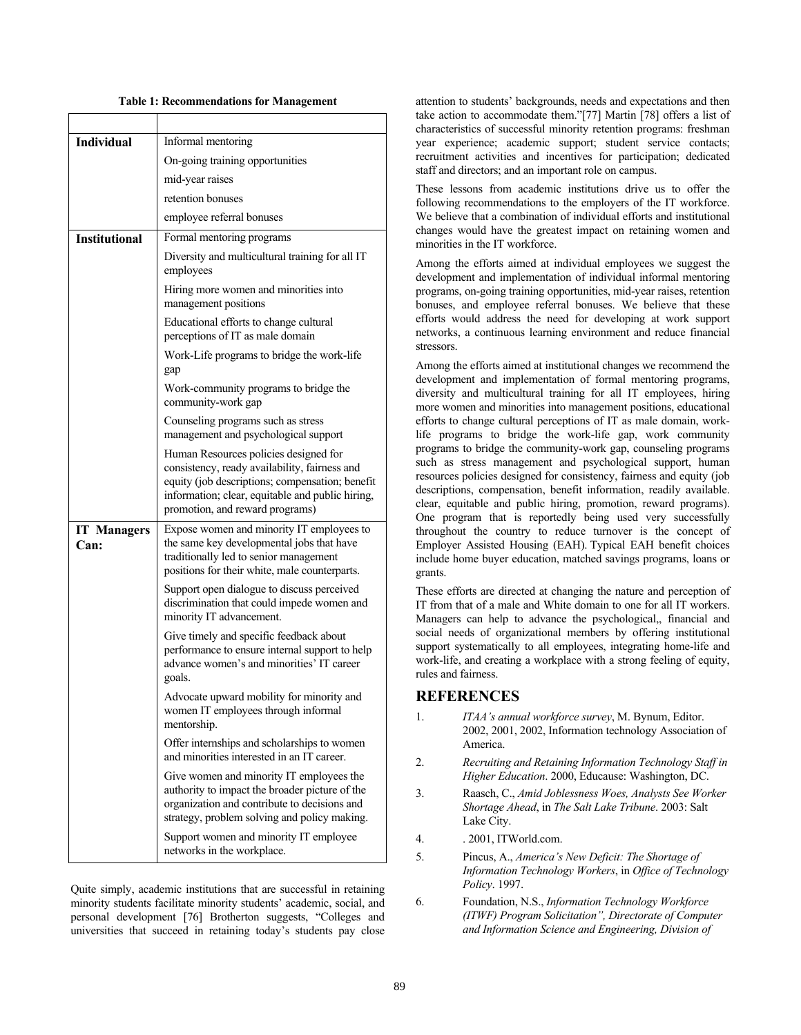|  |  |  | <b>Table 1: Recommendations for Management</b> |  |  |
|--|--|--|------------------------------------------------|--|--|
|--|--|--|------------------------------------------------|--|--|

| <b>Individual</b>          | Informal mentoring                                                                                                                                                                                                               |
|----------------------------|----------------------------------------------------------------------------------------------------------------------------------------------------------------------------------------------------------------------------------|
|                            | On-going training opportunities                                                                                                                                                                                                  |
|                            | mid-year raises                                                                                                                                                                                                                  |
|                            | retention bonuses                                                                                                                                                                                                                |
|                            | employee referral bonuses                                                                                                                                                                                                        |
| <b>Institutional</b>       | Formal mentoring programs                                                                                                                                                                                                        |
|                            | Diversity and multicultural training for all IT<br>employees                                                                                                                                                                     |
|                            | Hiring more women and minorities into<br>management positions                                                                                                                                                                    |
|                            | Educational efforts to change cultural<br>perceptions of IT as male domain                                                                                                                                                       |
|                            | Work-Life programs to bridge the work-life<br>gap                                                                                                                                                                                |
|                            | Work-community programs to bridge the<br>community-work gap                                                                                                                                                                      |
|                            | Counseling programs such as stress<br>management and psychological support                                                                                                                                                       |
|                            | Human Resources policies designed for<br>consistency, ready availability, fairness and<br>equity (job descriptions; compensation; benefit<br>information; clear, equitable and public hiring,<br>promotion, and reward programs) |
| <b>IT Managers</b><br>Can: | Expose women and minority IT employees to<br>the same key developmental jobs that have<br>traditionally led to senior management<br>positions for their white, male counterparts.                                                |
|                            | Support open dialogue to discuss perceived<br>discrimination that could impede women and<br>minority IT advancement.                                                                                                             |
|                            | Give timely and specific feedback about<br>performance to ensure internal support to help<br>advance women's and minorities' IT career<br>goals.                                                                                 |
|                            | Advocate upward mobility for minority and<br>women IT employees through informal<br>mentorship.                                                                                                                                  |
|                            | Offer internships and scholarships to women<br>and minorities interested in an IT career.                                                                                                                                        |
|                            | Give women and minority IT employees the<br>authority to impact the broader picture of the<br>organization and contribute to decisions and<br>strategy, problem solving and policy making.                                       |
|                            | Support women and minority IT employee<br>networks in the workplace.                                                                                                                                                             |

Quite simply, academic institutions that are successful in retaining minority students facilitate minority students' academic, social, and personal development [76] Brotherton suggests, "Colleges and universities that succeed in retaining today's students pay close attention to students' backgrounds, needs and expectations and then take action to accommodate them."[77] Martin [78] offers a list of characteristics of successful minority retention programs: freshman year experience; academic support; student service contacts; recruitment activities and incentives for participation; dedicated staff and directors; and an important role on campus.

These lessons from academic institutions drive us to offer the following recommendations to the employers of the IT workforce. We believe that a combination of individual efforts and institutional changes would have the greatest impact on retaining women and minorities in the IT workforce.

Among the efforts aimed at individual employees we suggest the development and implementation of individual informal mentoring programs, on-going training opportunities, mid-year raises, retention bonuses, and employee referral bonuses. We believe that these efforts would address the need for developing at work support networks, a continuous learning environment and reduce financial stressors.

Among the efforts aimed at institutional changes we recommend the development and implementation of formal mentoring programs, diversity and multicultural training for all IT employees, hiring more women and minorities into management positions, educational efforts to change cultural perceptions of IT as male domain, worklife programs to bridge the work-life gap, work community programs to bridge the community-work gap, counseling programs such as stress management and psychological support, human resources policies designed for consistency, fairness and equity (job descriptions, compensation, benefit information, readily available. clear, equitable and public hiring, promotion, reward programs). One program that is reportedly being used very successfully throughout the country to reduce turnover is the concept of Employer Assisted Housing (EAH). Typical EAH benefit choices include home buyer education, matched savings programs, loans or grants.

These efforts are directed at changing the nature and perception of IT from that of a male and White domain to one for all IT workers. Managers can help to advance the psychological,, financial and social needs of organizational members by offering institutional support systematically to all employees, integrating home-life and work-life, and creating a workplace with a strong feeling of equity, rules and fairness.

#### **REFERENCES**

- 1. *ITAA's annual workforce survey*, M. Bynum, Editor. 2002, 2001, 2002, Information technology Association of America.
- 2. *Recruiting and Retaining Information Technology Staff in Higher Education*. 2000, Educause: Washington, DC.
- 3. Raasch, C., *Amid Joblessness Woes, Analysts See Worker Shortage Ahead*, in *The Salt Lake Tribune*. 2003: Salt Lake City.
- 4. . 2001, ITWorld.com.
- 5. Pincus, A., *America's New Deficit: The Shortage of Information Technology Workers*, in *Office of Technology Policy*. 1997.
- 6. Foundation, N.S., *Information Technology Workforce (ITWF) Program Solicitation", Directorate of Computer and Information Science and Engineering, Division of*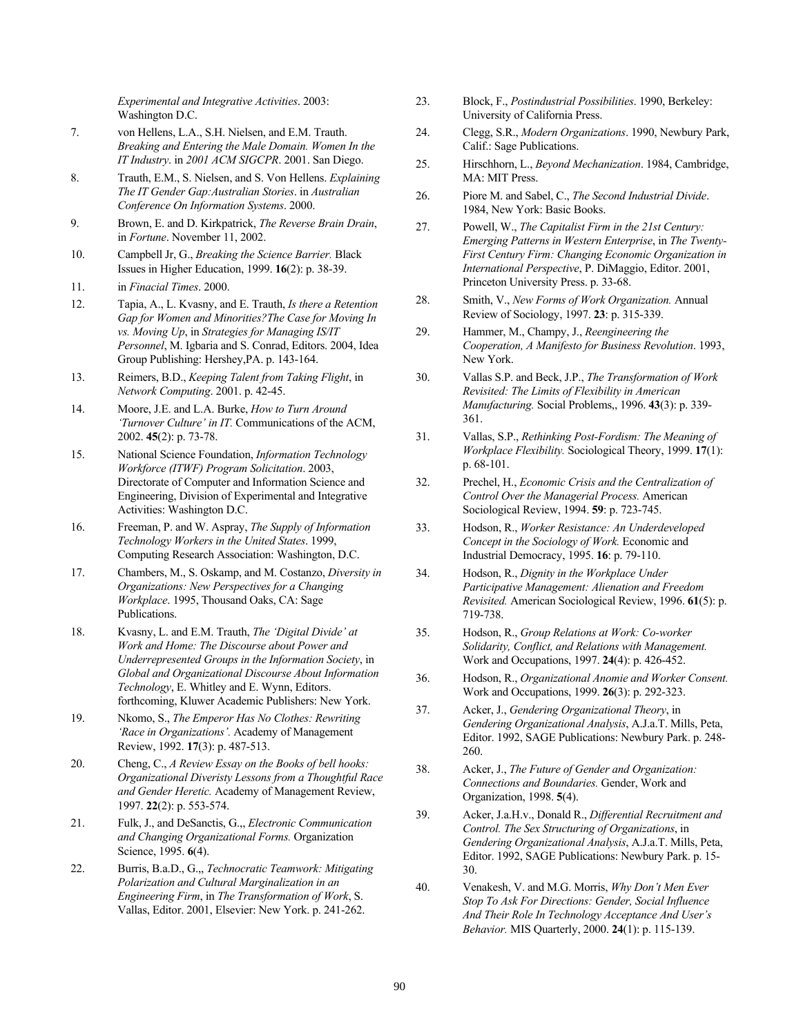*Experimental and Integrative Activities*. 2003: Washington D.C.

- 7. von Hellens, L.A., S.H. Nielsen, and E.M. Trauth. *Breaking and Entering the Male Domain. Women In the IT Industry*. in *2001 ACM SIGCPR*. 2001. San Diego.
- 8. Trauth, E.M., S. Nielsen, and S. Von Hellens. *Explaining The IT Gender Gap:Australian Stories*. in *Australian Conference On Information Systems*. 2000.
- 9. Brown, E. and D. Kirkpatrick, *The Reverse Brain Drain*, in *Fortune*. November 11, 2002.
- 10. Campbell Jr, G., *Breaking the Science Barrier.* Black Issues in Higher Education, 1999. **16**(2): p. 38-39.
- 11. in *Finacial Times*. 2000.
- 12. Tapia, A., L. Kvasny, and E. Trauth, *Is there a Retention Gap for Women and Minorities?The Case for Moving In vs. Moving Up*, in *Strategies for Managing IS/IT Personnel*, M. Igbaria and S. Conrad, Editors. 2004, Idea Group Publishing: Hershey,PA. p. 143-164.
- 13. Reimers, B.D., *Keeping Talent from Taking Flight*, in *Network Computing*. 2001. p. 42-45.
- 14. Moore, J.E. and L.A. Burke, *How to Turn Around 'Turnover Culture' in IT.* Communications of the ACM, 2002. **45**(2): p. 73-78.
- 15. National Science Foundation, *Information Technology Workforce (ITWF) Program Solicitation*. 2003, Directorate of Computer and Information Science and Engineering, Division of Experimental and Integrative Activities: Washington D.C.
- 16. Freeman, P. and W. Aspray, *The Supply of Information Technology Workers in the United States*. 1999, Computing Research Association: Washington, D.C.
- 17. Chambers, M., S. Oskamp, and M. Costanzo, *Diversity in Organizations: New Perspectives for a Changing Workplace*. 1995, Thousand Oaks, CA: Sage Publications.
- 18. Kvasny, L. and E.M. Trauth, *The 'Digital Divide' at Work and Home: The Discourse about Power and Underrepresented Groups in the Information Society*, in *Global and Organizational Discourse About Information Technology*, E. Whitley and E. Wynn, Editors. forthcoming, Kluwer Academic Publishers: New York.
- 19. Nkomo, S., *The Emperor Has No Clothes: Rewriting 'Race in Organizations'.* Academy of Management Review, 1992. **17**(3): p. 487-513.
- 20. Cheng, C., *A Review Essay on the Books of bell hooks: Organizational Diveristy Lessons from a Thoughtful Race and Gender Heretic.* Academy of Management Review, 1997. **22**(2): p. 553-574.
- 21. Fulk, J., and DeSanctis, G.,, *Electronic Communication and Changing Organizational Forms.* Organization Science, 1995. **6**(4).
- 22. Burris, B.a.D., G.,, *Technocratic Teamwork: Mitigating Polarization and Cultural Marginalization in an Engineering Firm*, in *The Transformation of Work*, S. Vallas, Editor. 2001, Elsevier: New York. p. 241-262.
- 23. Block, F., *Postindustrial Possibilities*. 1990, Berkeley: University of California Press.
- 24. Clegg, S.R., *Modern Organizations*. 1990, Newbury Park, Calif.: Sage Publications.
- 25. Hirschhorn, L., *Beyond Mechanization*. 1984, Cambridge, MA: MIT Press.
- 26. Piore M. and Sabel, C., *The Second Industrial Divide*. 1984, New York: Basic Books.
- 27. Powell, W., *The Capitalist Firm in the 21st Century: Emerging Patterns in Western Enterprise*, in *The Twenty-First Century Firm: Changing Economic Organization in International Perspective*, P. DiMaggio, Editor. 2001, Princeton University Press. p. 33-68.
- 28. Smith, V., *New Forms of Work Organization.* Annual Review of Sociology, 1997. **23**: p. 315-339.
- 29. Hammer, M., Champy, J., *Reengineering the Cooperation, A Manifesto for Business Revolution*. 1993, New York.
- 30. Vallas S.P. and Beck, J.P., *The Transformation of Work Revisited: The Limits of Flexibility in American Manufacturing.* Social Problems,, 1996. **43**(3): p. 339- 361.
- 31. Vallas, S.P., *Rethinking Post-Fordism: The Meaning of Workplace Flexibility.* Sociological Theory, 1999. **17**(1): p. 68-101.
- 32. Prechel, H., *Economic Crisis and the Centralization of Control Over the Managerial Process.* American Sociological Review, 1994. **59**: p. 723-745.
- 33. Hodson, R., *Worker Resistance: An Underdeveloped Concept in the Sociology of Work.* Economic and Industrial Democracy, 1995. **16**: p. 79-110.
- 34. Hodson, R., *Dignity in the Workplace Under Participative Management: Alienation and Freedom Revisited.* American Sociological Review, 1996. **61**(5): p. 719-738.
- 35. Hodson, R., *Group Relations at Work: Co-worker Solidarity, Conflict, and Relations with Management.* Work and Occupations, 1997. **24**(4): p. 426-452.
- 36. Hodson, R., *Organizational Anomie and Worker Consent.* Work and Occupations, 1999. **26**(3): p. 292-323.
- 37. Acker, J., *Gendering Organizational Theory*, in *Gendering Organizational Analysis*, A.J.a.T. Mills, Peta, Editor. 1992, SAGE Publications: Newbury Park. p. 248- 260.
- 38. Acker, J., *The Future of Gender and Organization: Connections and Boundaries.* Gender, Work and Organization, 1998. **5**(4).
- 39. Acker, J.a.H.v., Donald R., *Differential Recruitment and Control. The Sex Structuring of Organizations*, in *Gendering Organizational Analysis*, A.J.a.T. Mills, Peta, Editor. 1992, SAGE Publications: Newbury Park. p. 15- 30.
- 40. Venakesh, V. and M.G. Morris, *Why Don't Men Ever Stop To Ask For Directions: Gender, Social Influence And Their Role In Technology Acceptance And User's Behavior.* MIS Quarterly, 2000. **24**(1): p. 115-139.